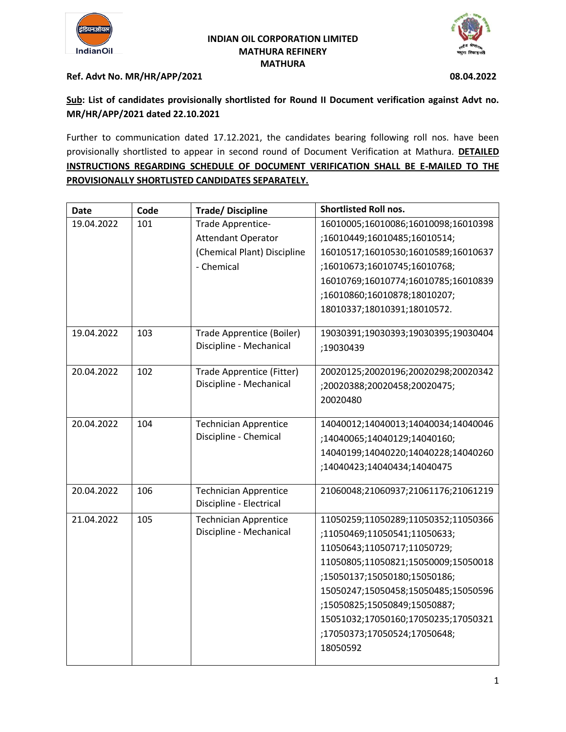

### **INDIAN OIL CORPORATION LIMITED MATHURA REFINERY MATHURA**



## **Ref. Advt No. MR/HR/APP/2021 08.04.2022**

# **Sub: List of candidates provisionally shortlisted for Round II Document verification against Advt no. MR/HR/APP/2021 dated 22.10.2021**

Further to communication dated 17.12.2021, the candidates bearing following roll nos. have been provisionally shortlisted to appear in second round of Document Verification at Mathura. **DETAILED INSTRUCTIONS REGARDING SCHEDULE OF DOCUMENT VERIFICATION SHALL BE E-MAILED TO THE PROVISIONALLY SHORTLISTED CANDIDATES SEPARATELY.**

| <b>Date</b> | Code | <b>Trade/Discipline</b>                                 | <b>Shortlisted Roll nos.</b>        |
|-------------|------|---------------------------------------------------------|-------------------------------------|
| 19.04.2022  | 101  | Trade Apprentice-                                       | 16010005;16010086;16010098;16010398 |
|             |      | <b>Attendant Operator</b>                               | ;16010449;16010485;16010514;        |
|             |      | (Chemical Plant) Discipline                             | 16010517;16010530;16010589;16010637 |
|             |      | - Chemical                                              | ;16010673;16010745;16010768;        |
|             |      |                                                         | 16010769;16010774;16010785;16010839 |
|             |      |                                                         | ;16010860;16010878;18010207;        |
|             |      |                                                         | 18010337;18010391;18010572.         |
| 19.04.2022  | 103  | Trade Apprentice (Boiler)                               | 19030391;19030393;19030395;19030404 |
|             |      | Discipline - Mechanical                                 | ;19030439                           |
|             |      |                                                         |                                     |
| 20.04.2022  | 102  | Trade Apprentice (Fitter)                               | 20020125;20020196;20020298;20020342 |
|             |      | Discipline - Mechanical                                 | ;20020388;20020458;20020475;        |
|             |      |                                                         | 20020480                            |
| 20.04.2022  | 104  | <b>Technician Apprentice</b>                            | 14040012;14040013;14040034;14040046 |
|             |      | Discipline - Chemical                                   | ;14040065;14040129;14040160;        |
|             |      |                                                         | 14040199;14040220;14040228;14040260 |
|             |      |                                                         | ;14040423;14040434;14040475         |
| 20.04.2022  | 106  | <b>Technician Apprentice</b>                            | 21060048;21060937;21061176;21061219 |
|             |      | Discipline - Electrical                                 |                                     |
| 21.04.2022  | 105  | <b>Technician Apprentice</b><br>Discipline - Mechanical | 11050259;11050289;11050352;11050366 |
|             |      |                                                         | ;11050469;11050541;11050633;        |
|             |      |                                                         | 11050643;11050717;11050729;         |
|             |      |                                                         | 11050805;11050821;15050009;15050018 |
|             |      |                                                         | ;15050137;15050180;15050186;        |
|             |      |                                                         | 15050247;15050458;15050485;15050596 |
|             |      |                                                         | ;15050825;15050849;15050887;        |
|             |      |                                                         | 15051032;17050160;17050235;17050321 |
|             |      |                                                         | ;17050373;17050524;17050648;        |
|             |      |                                                         | 18050592                            |
|             |      |                                                         |                                     |